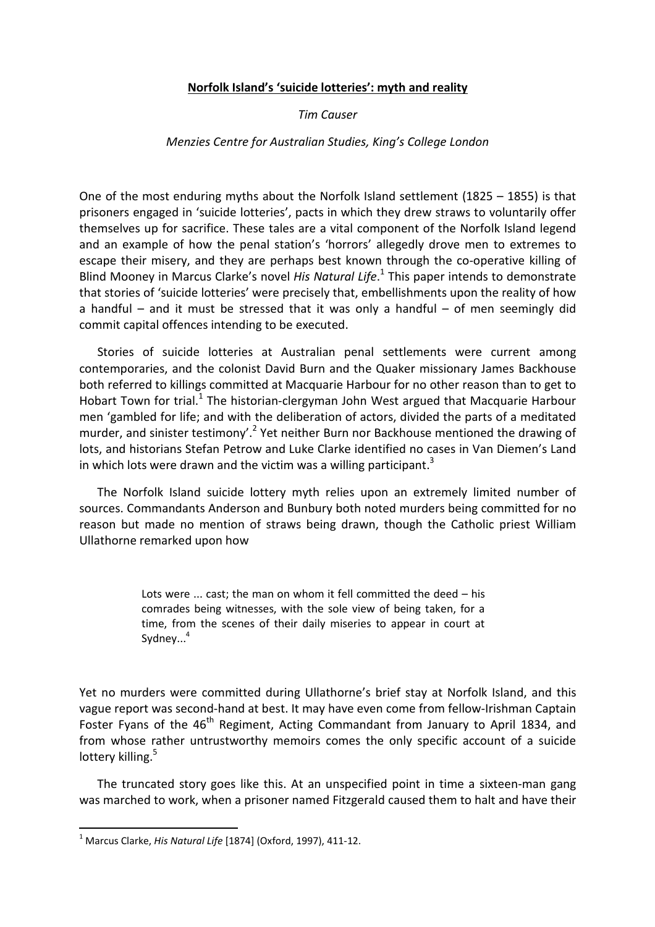## **Norfolk Island's 'suicide lotteries': myth and reality**

*Tim Causer*

## *Menzies Centre for Australian Studies, King's College London*

One of the most enduring myths about the Norfolk Island settlement (1825 – 1855) is that prisoners engaged in 'suicide lotteries', pacts in which they drew straws to voluntarily offer themselves up for sacrifice. These tales are a vital component of the Norfolk Island legend and an example of how the penal station's 'horrors' allegedly drove men to extremes to escape their misery, and they are perhaps best known through the co-operative killing of Blind Mooney in Marcus Clarke's novel *His Natural Life*. [1](#page-0-0) This paper intends to demonstrate that stories of 'suicide lotteries' were precisely that, embellishments upon the reality of how a handful – and it must be stressed that it was only a handful – of men seemingly did commit capital offences intending to be executed.

Stories of suicide lotteries at Australian penal settlements were current among contemporaries, and the colonist David Burn and the Quaker missionary James Backhouse both referred to killings committed at Macquarie Harbour for no other reason than to get to Hobart Town for trial.<sup>[1](#page-8-0)</sup> The historian-clergyman John West argued that Macquarie Harbour men 'gambled for life; and with the deliberation of actors, divided the parts of a meditated murder, and sinister testimony'.<sup>[2](#page-8-1)</sup> Yet neither Burn nor Backhouse mentioned the drawing of lots, and historians Stefan Petrow and Luke Clarke identified no cases in Van Diemen's Land in which lots were drawn and the victim was a willing participant.<sup>[3](#page-8-2)</sup>

The Norfolk Island suicide lottery myth relies upon an extremely limited number of sources. Commandants Anderson and Bunbury both noted murders being committed for no reason but made no mention of straws being drawn, though the Catholic priest William Ullathorne remarked upon how

> Lots were ... cast; the man on whom it fell committed the deed – his comrades being witnesses, with the sole view of being taken, for a time, from the scenes of their daily miseries to appear in court at Sydney... [4](#page-8-3)

Yet no murders were committed during Ullathorne's brief stay at Norfolk Island, and this vague report was second-hand at best. It may have even come from fellow-Irishman Captain Foster Fyans of the 46<sup>th</sup> Regiment, Acting Commandant from January to April 1834, and from whose rather untrustworthy memoirs comes the only specific account of a suicide lottery killing.<sup>[5](#page-8-4)</sup>

The truncated story goes like this. At an unspecified point in time a sixteen-man gang was marched to work, when a prisoner named Fitzgerald caused them to halt and have their

<span id="page-0-0"></span><sup>1</sup> Marcus Clarke, *His Natural Life* [1874] (Oxford, 1997), 411-12.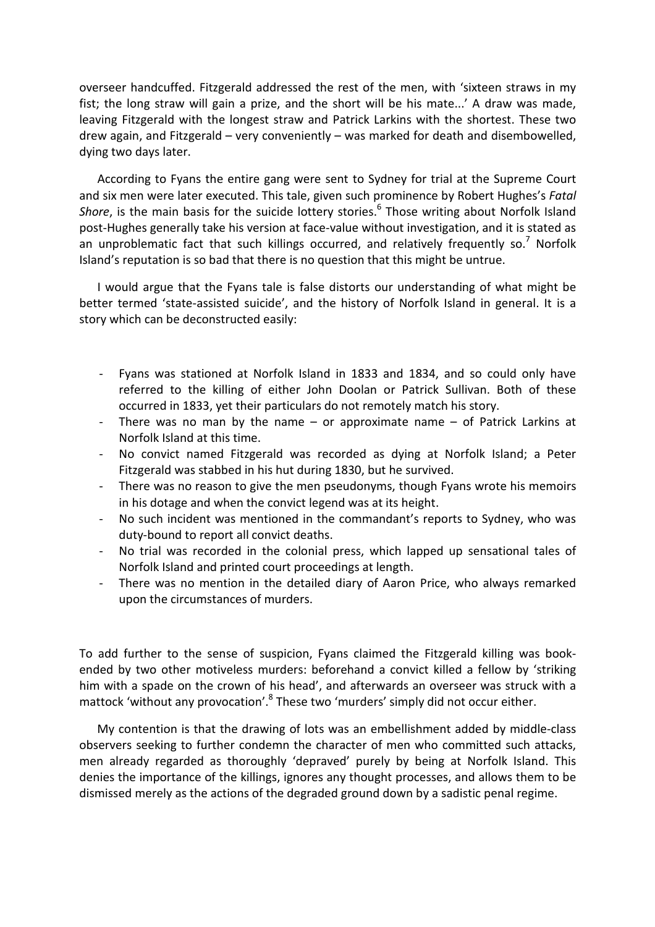overseer handcuffed. Fitzgerald addressed the rest of the men, with 'sixteen straws in my fist; the long straw will gain a prize, and the short will be his mate...' A draw was made, leaving Fitzgerald with the longest straw and Patrick Larkins with the shortest. These two drew again, and Fitzgerald – very conveniently – was marked for death and disembowelled, dying two days later.

According to Fyans the entire gang were sent to Sydney for trial at the Supreme Court and six men were later executed. This tale, given such prominence by Robert Hughes's *Fatal* Shore, is the main basis for the suicide lottery stories.<sup>[6](#page-8-5)</sup> Those writing about Norfolk Island post-Hughes generally take his version at face-value without investigation, and it is stated as an unproblematic fact that such killings occurred, and relatively frequently so.<sup>[7](#page-8-6)</sup> Norfolk Island's reputation is so bad that there is no question that this might be untrue.

I would argue that the Fyans tale is false distorts our understanding of what might be better termed 'state-assisted suicide', and the history of Norfolk Island in general. It is a story which can be deconstructed easily:

- Fyans was stationed at Norfolk Island in 1833 and 1834, and so could only have referred to the killing of either John Doolan or Patrick Sullivan. Both of these occurred in 1833, yet their particulars do not remotely match his story.
- There was no man by the name or approximate name of Patrick Larkins at Norfolk Island at this time.
- No convict named Fitzgerald was recorded as dying at Norfolk Island; a Peter Fitzgerald was stabbed in his hut during 1830, but he survived.
- There was no reason to give the men pseudonyms, though Fyans wrote his memoirs in his dotage and when the convict legend was at its height.
- No such incident was mentioned in the commandant's reports to Sydney, who was duty-bound to report all convict deaths.
- No trial was recorded in the colonial press, which lapped up sensational tales of Norfolk Island and printed court proceedings at length.
- There was no mention in the detailed diary of Aaron Price, who always remarked upon the circumstances of murders.

To add further to the sense of suspicion, Fyans claimed the Fitzgerald killing was bookended by two other motiveless murders: beforehand a convict killed a fellow by 'striking him with a spade on the crown of his head', and afterwards an overseer was struck with a mattock 'without any provocation['.](#page-8-7)<sup>[8](#page-8-7)</sup> These two 'murders' simply did not occur either.

My contention is that the drawing of lots was an embellishment added by middle-class observers seeking to further condemn the character of men who committed such attacks, men already regarded as thoroughly 'depraved' purely by being at Norfolk Island. This denies the importance of the killings, ignores any thought processes, and allows them to be dismissed merely as the actions of the degraded ground down by a sadistic penal regime.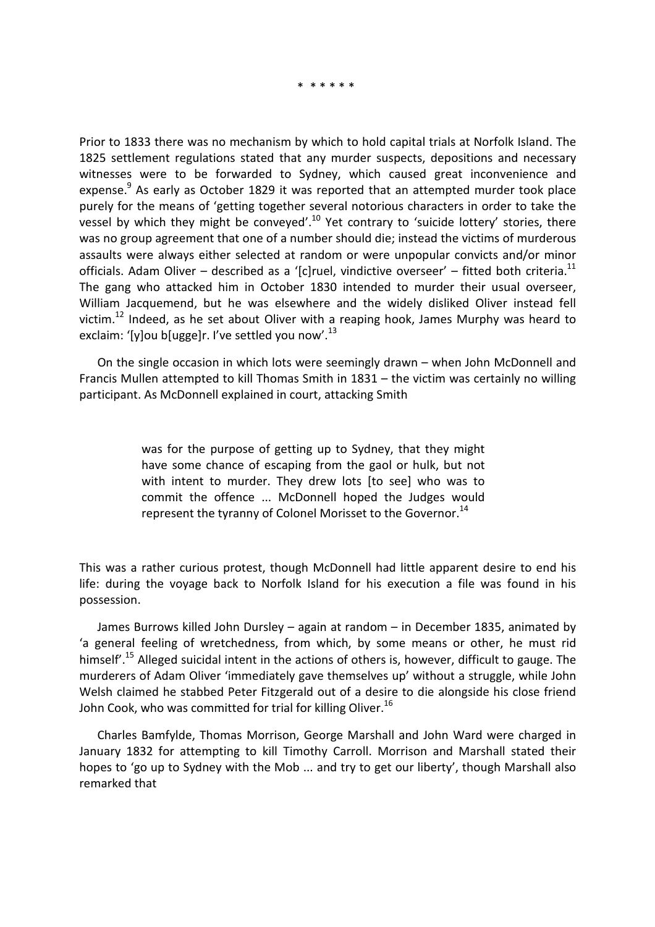\* \* \* \* \* \*

Prior to 1833 there was no mechanism by which to hold capital trials at Norfolk Island. The 1825 settlement regulations stated that any murder suspects, depositions and necessary witnesses were to be forwarded to Sydney, which caused great inconvenience and expense.<sup>[9](#page-8-8)</sup> As early as October 1829 it was reported that an attempted murder took place purely for the means of 'getting together several notorious characters in order to take the vessel by which they might be conveyed'.<sup>[10](#page-8-9)</sup> Yet contrary to 'suicide lottery' stories, there was no group agreement that one of a number should die; instead the victims of murderous assaults were always either selected at random or were unpopular convicts and/or minor officials. Adam Oliver – described as a '[c]ruel, vindictive overseer' – fitted both criteri[a.](#page-8-10)<sup>[11](#page-8-10)</sup> The gang who attacked him in October 1830 intended to murder their usual overseer, William Jacquemend, but he was elsewhere and the widely disliked Oliver instead fell victim.<sup>[12](#page-8-11)</sup> Indeed, as he set about Oliver with a reaping hook, James Murphy was heard to exclaim: '[y]ou b[ugge]r. I've settled you now'. $^{13}$  $^{13}$  $^{13}$ 

On the single occasion in which lots were seemingly drawn – when John McDonnell and Francis Mullen attempted to kill Thomas Smith in 1831 – the victim was certainly no willing participant. As McDonnell explained in court, attacking Smith

> was for the purpose of getting up to Sydney, that they might have some chance of escaping from the gaol or hulk, but not with intent to murder. They drew lots [to see] who was to commit the offence ... McDonnell hoped the Judges would represent the tyranny of Colonel Morisset to the Governor.<sup>[14](#page-8-13)</sup>

This was a rather curious protest, though McDonnell had little apparent desire to end his life: during the voyage back to Norfolk Island for his execution a file was found in his possession.

James Burrows killed John Dursley – again at random – in December 1835, animated by 'a general feeling of wretchedness, from which, by some means or other, he must rid himself<sup>'.[15](#page-8-14)</sup> Alleged suicidal intent in the actions of others is, however, difficult to gauge. The murderers of Adam Oliver 'immediately gave themselves up' without a struggle, while John Welsh claimed he stabbed Peter Fitzgerald out of a desire to die alongside his close friend John Cook, who was committed for trial for killing Oliver.<sup>[16](#page-8-15)</sup>

Charles Bamfylde, Thomas Morrison, George Marshall and John Ward were charged in January 1832 for attempting to kill Timothy Carroll. Morrison and Marshall stated their hopes to 'go up to Sydney with the Mob ... and try to get our liberty', though Marshall also remarked that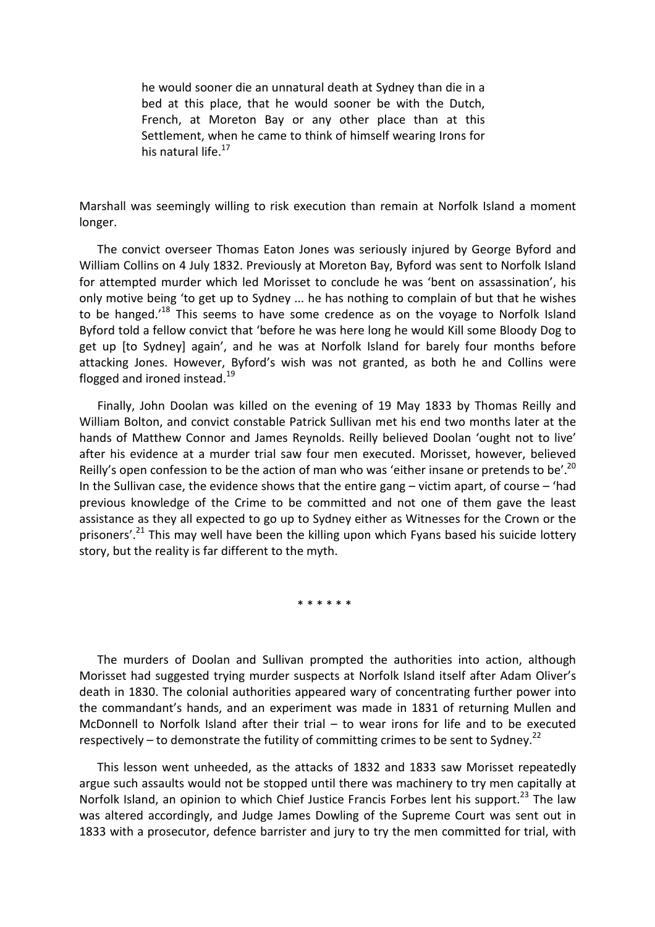he would sooner die an unnatural death at Sydney than die in a bed at this place, that he would sooner be with the Dutch, French, at Moreton Bay or any other place than at this Settlement, when he came to think of himself wearing Irons for his natural life.<sup>[17](#page-8-16)</sup>

Marshall was seemingly willing to risk execution than remain at Norfolk Island a moment longer.

The convict overseer Thomas Eaton Jones was seriously injured by George Byford and William Collins on 4 July 1832. Previously at Moreton Bay, Byford was sent to Norfolk Island for attempted murder which led Morisset to conclude he was 'bent on assassination', his only motive being 'to get up to Sydney ... he has nothing to complain of but that he wishes to be hanged.<sup>'[18](#page-8-17)</sup> This seems to have some credence as on the voyage to Norfolk Island Byford told a fellow convict that 'before he was here long he would Kill some Bloody Dog to get up [to Sydney] again', and he was at Norfolk Island for barely four months before attacking Jones. However, Byford's wish was not granted, as both he and Collins were flogged and ironed instead.<sup>[19](#page-8-18)</sup>

Finally, John Doolan was killed on the evening of 19 May 1833 by Thomas Reilly and William Bolton, and convict constable Patrick Sullivan met his end two months later at the hands of Matthew Connor and James Reynolds. Reilly believed Doolan 'ought not to live' after his evidence at a murder trial saw four men executed. Morisset, however, believed Reilly's open confession to be the action of man who was 'either insane or pretends to be'.<sup>[20](#page-8-19)</sup> In the Sullivan case, the evidence shows that the entire gang – victim apart, of course – 'had previous knowledge of the Crime to be committed and not one of them gave the least assistance as they all expected to go up to Sydney either as Witnesses for the Crown or the prisoners'.<sup>[21](#page-8-20)</sup> This may well have been the killing upon which Fyans based his suicide lottery story, but the reality is far different to the myth.

\* \* \* \* \* \*

The murders of Doolan and Sullivan prompted the authorities into action, although Morisset had suggested trying murder suspects at Norfolk Island itself after Adam Oliver's death in 1830. The colonial authorities appeared wary of concentrating further power into the commandant's hands, and an experiment was made in 1831 of returning Mullen and McDonnell to Norfolk Island after their trial – to wear irons for life and to be executed respectively – to demonstrate the futility of committing crimes to be sent to Sydney.<sup>[22](#page-8-21)</sup>

This lesson went unheeded, as the attacks of 1832 and 1833 saw Morisset repeatedly argue such assaults would not be stopped until there was machinery to try men capitally at Norfolk Island, an opinion to which Chief Justice Francis Forbes lent his support.<sup>[23](#page-8-22)</sup> The law was altered accordingly, and Judge James Dowling of the Supreme Court was sent out in 1833 with a prosecutor, defence barrister and jury to try the men committed for trial, with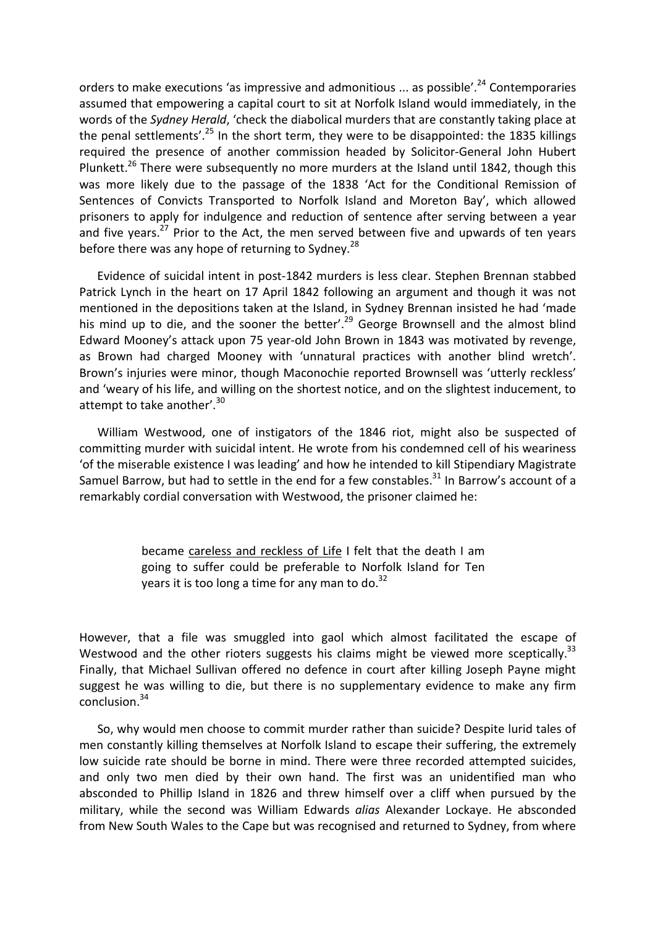orders to make executions 'as impressive and admonitious ... as possible'.<sup>[24](#page-8-23)</sup> Contemporaries assumed that empowering a capital court to sit at Norfolk Island would immediately, in the words of the *Sydney Herald*, 'check the diabolical murders that are constantly taking place at the penal settlements'.<sup>[25](#page-8-24)</sup> In the short term, they were to be disappointed: the 1835 killings required the presence of another commission headed by Solicitor-General John Hubert Plunkett.<sup>[26](#page-8-25)</sup> There were subsequently no more murders at the Island until 1842, though this was more likely due to the passage of the 1838 'Act for the Conditional Remission of Sentences of Convicts Transported to Norfolk Island and Moreton Bay', which allowed prisoners to apply for indulgence and reduction of sentence after serving between a year and five years. $^{27}$  $^{27}$  $^{27}$  Prior to the Act, the men served between five and upwards of ten years before there was any hope of returning to Sydney.<sup>[28](#page-8-27)</sup>

Evidence of suicidal intent in post-1842 murders is less clear. Stephen Brennan stabbed Patrick Lynch in the heart on 17 April 1842 following an argument and though it was not mentioned in the depositions taken at the Island, in Sydney Brennan insisted he had 'made his mind up to die, and the sooner the better'.<sup>[29](#page-8-28)</sup> George Brownsell and the almost blind Edward Mooney's attack upon 75 year-old John Brown in 1843 was motivated by revenge, as Brown had charged Mooney with 'unnatural practices with another blind wretch'. Brown's injuries were minor, though Maconochie reported Brownsell was 'utterly reckless' and 'weary of his life, and willing on the shortest notice, and on the slightest inducement, to attempt to take another'.<sup>[30](#page-8-29)</sup>

William Westwood, one of instigators of the 1846 riot, might also be suspected of committing murder with suicidal intent. He wrote from his condemned cell of his weariness 'of the miserable existence I was leading' and how he intended to kill Stipendiary Magistrate Samuel Barrow, but had to settle in the end for a few constables.<sup>[31](#page-8-30)</sup> In Barrow's account of a remarkably cordial conversation with Westwood, the prisoner claimed he:

> became careless and reckless of Life I felt that the death I am going to suffer could be preferable to Norfolk Island for Ten years it is too long a time for any man to do. $32$

However, that a file was smuggled into gaol which almost facilitated the escape of Westwood and the other rioters suggests his claims might be viewed more sceptically.<sup>[33](#page-8-32)</sup> Finally, that Michael Sullivan offered no defence in court after killing Joseph Payne might suggest he was willing to die, but there is no supplementary evidence to make any firm conclusio[n.](#page-8-33) [34](#page-8-33)

So, why would men choose to commit murder rather than suicide? Despite lurid tales of men constantly killing themselves at Norfolk Island to escape their suffering, the extremely low suicide rate should be borne in mind. There were three recorded attempted suicides, and only two men died by their own hand. The first was an unidentified man who absconded to Phillip Island in 1826 and threw himself over a cliff when pursued by the military, while the second was William Edwards *alias* Alexander Lockaye. He absconded from New South Wales to the Cape but was recognised and returned to Sydney, from where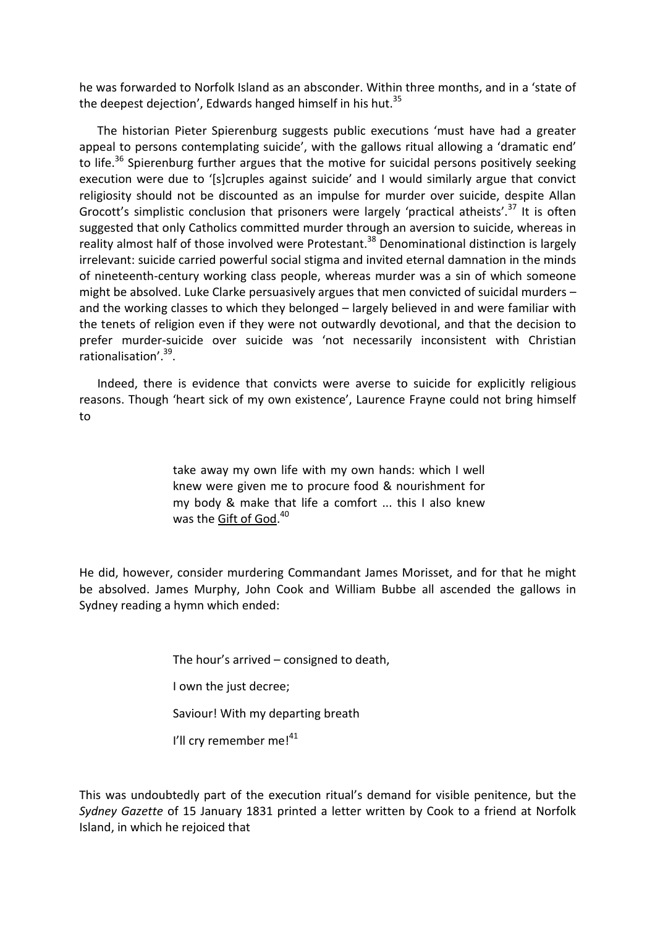he was forwarded to Norfolk Island as an absconder. Within three months, and in a 'state of the deepest dejection', Edwards hanged himself in his hut. $35$ 

The historian Pieter Spierenburg suggests public executions 'must have had a greater appeal to persons contemplating suicide', with the gallows ritual allowing a 'dramatic end' to life.<sup>[36](#page-8-35)</sup> Spierenburg further argues that the motive for suicidal persons positively seeking execution were due to '[s]cruples against suicide' and I would similarly argue that convict religiosity should not be discounted as an impulse for murder over suicide, despite Allan Grocott's simplistic conclusion that prisoners were largely 'practical atheists['.](#page-8-36)<sup>[37](#page-8-36)</sup> It is often suggested that only Catholics committed murder through an aversion to suicide, whereas in reality almost half of those involved were Protestant.<sup>[38](#page-8-37)</sup> Denominational distinction is largely irrelevant: suicide carried powerful social stigma and invited eternal damnation in the minds of nineteenth-century working class people, whereas murder was a sin of which someone might be absolved. Luke Clarke persuasively argues that men convicted of suicidal murders – and the working classes to which they belonged – largely believed in and were familiar with the tenets of religion even if they were not outwardly devotional, and that the decision to prefer murder-suicide over suicide was 'not necessarily inconsistent with Christian rationalisation'.<sup>[39](#page-8-38)</sup>.

Indeed, there is evidence that convicts were averse to suicide for explicitly religious reasons. Though 'heart sick of my own existence', Laurence Frayne could not bring himself to

> take away my own life with my own hands: which I well knew were given me to procure food & nourishment for my body & make that life a comfort ... this I also knew was the <u>Gift of God</u>[.](#page-8-39)<sup>[40](#page-8-39)</sup>

He did, however, consider murdering Commandant James Morisset, and for that he might be absolved. James Murphy, John Cook and William Bubbe all ascended the gallows in Sydney reading a hymn which ended:

The hour's arrived – consigned to death,

I own the just decree;

Saviour! With my departing breath

I'll cry remember me!<sup>[41](#page-8-40)</sup>

This was undoubtedly part of the execution ritual's demand for visible penitence, but the *Sydney Gazette* of 15 January 1831 printed a letter written by Cook to a friend at Norfolk Island, in which he rejoiced that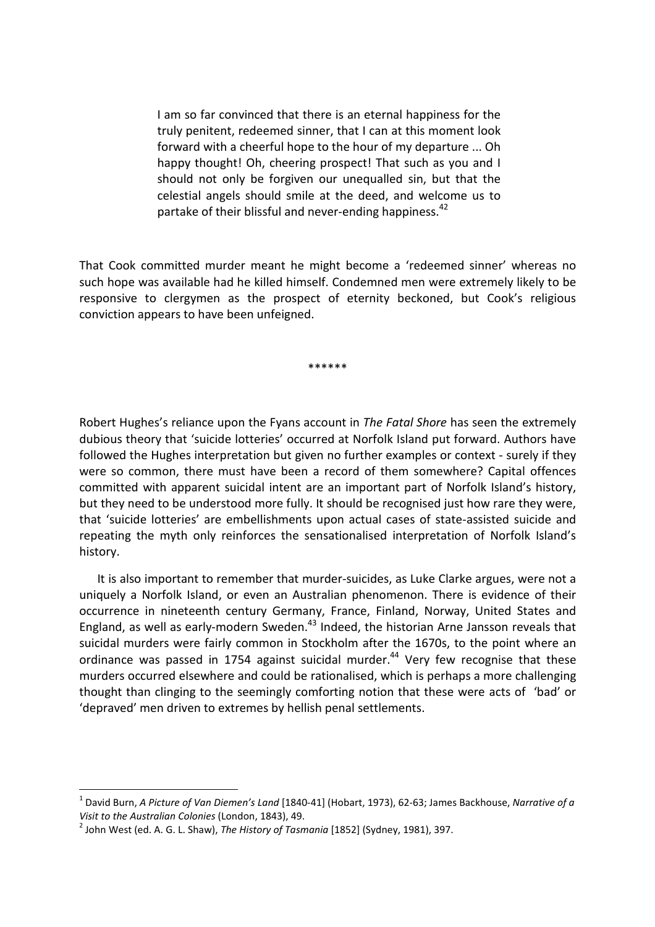I am so far convinced that there is an eternal happiness for the truly penitent, redeemed sinner, that I can at this moment look forward with a cheerful hope to the hour of my departure ... Oh happy thought! Oh, cheering prospect! That such as you and I should not only be forgiven our unequalled sin, but that the celestial angels should smile at the deed, and welcome us to partake of their blissful and never-ending happiness.<sup>[42](#page-8-41)</sup>

That Cook committed murder meant he might become a 'redeemed sinner' whereas no such hope was available had he killed himself. Condemned men were extremely likely to be responsive to clergymen as the prospect of eternity beckoned, but Cook's religious conviction appears to have been unfeigned.

\*\*\*\*\*\*

Robert Hughes's reliance upon the Fyans account in *The Fatal Shore* has seen the extremely dubious theory that 'suicide lotteries' occurred at Norfolk Island put forward. Authors have followed the Hughes interpretation but given no further examples or context - surely if they were so common, there must have been a record of them somewhere? Capital offences committed with apparent suicidal intent are an important part of Norfolk Island's history, but they need to be understood more fully. It should be recognised just how rare they were, that 'suicide lotteries' are embellishments upon actual cases of state-assisted suicide and repeating the myth only reinforces the sensationalised interpretation of Norfolk Island's history.

It is also important to remember that murder-suicides, as Luke Clarke argues, were not a uniquely a Norfolk Island, or even an Australian phenomenon. There is evidence of their occurrence in nineteenth century Germany, France, Finland, Norway, United States and England, as well as early-modern Sweden.<sup>[43](#page-8-42)</sup> Indeed, the historian Arne Jansson reveals that suicidal murders were fairly common in Stockholm after the 1670s, to the point where an ordinance was passed in 1754 against suicidal murder. $44$  Very few recognise that these murders occurred elsewhere and could be rationalised, which is perhaps a more challenging thought than clinging to the seemingly comforting notion that these were acts of 'bad' or 'depraved' men driven to extremes by hellish penal settlements.

<sup>1</sup> David Burn, *A Picture of Van Diemen's Land* [1840-41] (Hobart, 1973), 62-63; James Backhouse, *Narrative of a Visit to the Australian Colonies* (London, 1843), 49.

<sup>2</sup> John West (ed. A. G. L. Shaw), *The History of Tasmania* [1852] (Sydney, 1981), 397.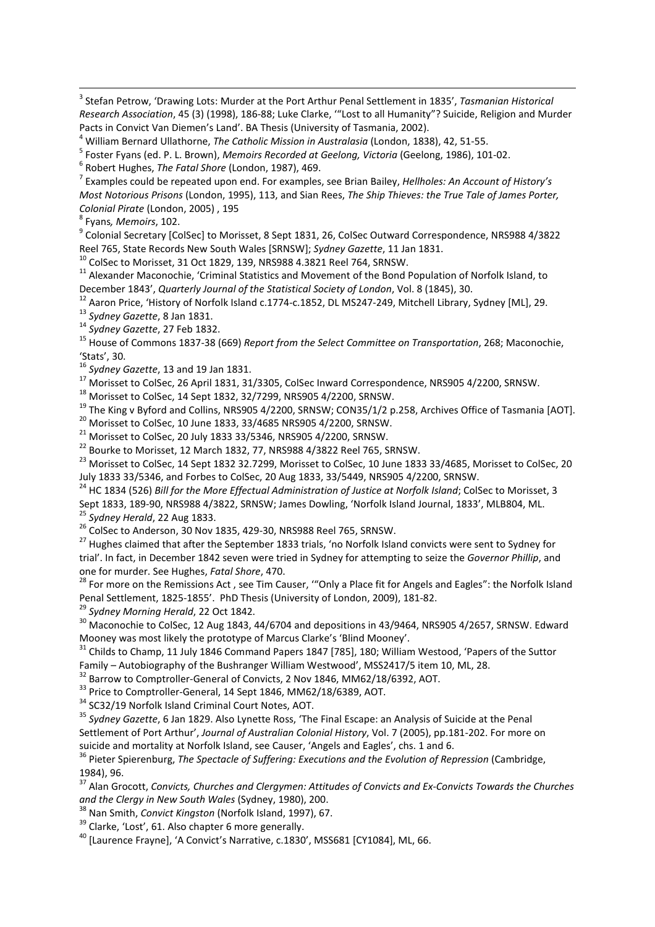3 Stefan Petrow, 'Drawing Lots: Murder at the Port Arthur Penal Settlement in 1835', *Tasmanian Historical Research Association*, 45 (3) (1998), 186-88; Luke Clarke, '"Lost to all Humanity"? Suicide, Religion and Murder Pacts in Convict Van Diemen's Land'. BA Thesis (University of Tasmania, 2002).

<sup>4</sup> William Bernard Ullathorne, *The Catholic Mission in Australasia* (London, 1838), 42, 51-55.

5 Foster Fyans (ed. P. L. Brown), *Memoirs Recorded at Geelong, Victoria* (Geelong, 1986), 101-02.

6 Robert Hughes, *The Fatal Shore* (London, 1987), 469.

7 Examples could be repeated upon end. For examples, see Brian Bailey, *Hellholes: An Account of History's Most Notorious Prisons* (London, 1995), 113, and Sian Rees, *The Ship Thieves: the True Tale of James Porter, Colonial Pirate* (London, 2005) , 195

8 Fyans*, Memoirs*, 102.

 $^9$  Colonial Secretary [ColSec] to Morisset, 8 Sept 1831, 26, ColSec Outward Correspondence, NRS988 4/3822 Reel 765, State Records New South Wales [SRNSW]; *Sydney Gazette*, 11 Jan 1831.

<sup>10</sup> ColSec to Morisset, 31 Oct 1829, 139, NRS988 4.3821 Reel 764, SRNSW.

<sup>11</sup> Alexander Maconochie, 'Criminal Statistics and Movement of the Bond Population of Norfolk Island, to December 1843', *Quarterly Journal of the Statistical Society of London*, Vol. 8 (1845), 30.

<sup>12</sup> Aaron Price, 'History of Norfolk Island c.1774-c.1852, DL MS247-249, Mitchell Library, Sydney [ML], 29.

<sup>13</sup> *Sydney Gazette*, 8 Jan 1831.

<sup>14</sup> *Sydney Gazette*, 27 Feb 1832.

<sup>15</sup> House of Commons 1837-38 (669) *Report from the Select Committee on Transportation*, 268; Maconochie, 'Stats', 30.

<sup>16</sup> *Sydney Gazette*, 13 and 19 Jan 1831.

<sup>17</sup> Morisset to ColSec, 26 April 1831, 31/3305, ColSec Inward Correspondence, NRS905 4/2200, SRNSW.

<sup>18</sup> Morisset to ColSec, 14 Sept 1832, 32/7299, NRS905 4/2200, SRNSW.

<sup>19</sup> The King v Byford and Collins, NRS905 4/2200, SRNSW; CON35/1/2 p.258, Archives Office of Tasmania [AOT].

<sup>20</sup> Morisset to ColSec, 10 June 1833, 33/4685 NRS905 4/2200, SRNSW.

 $21$  Morisset to ColSec, 20 July 1833 33/5346, NRS905 4/2200, SRNSW.

<sup>22</sup> Bourke to Morisset, 12 March 1832, 77, NRS988 4/3822 Reel 765, SRNSW.

<sup>23</sup> Morisset to ColSec, 14 Sept 1832 32.7299, Morisset to ColSec, 10 June 1833 33/4685, Morisset to ColSec, 20 July 1833 33/5346, and Forbes to ColSec, 20 Aug 1833, 33/5449, NRS905 4/2200, SRNSW.

<sup>24</sup> HC 1834 (526) *Bill for the More Effectual Administration of Justice at Norfolk Island; ColSec to Morisset, 3* Sept 1833, 189-90, NRS988 4/3822, SRNSW; James Dowling, 'Norfolk Island Journal, 1833', MLB804, ML. <sup>25</sup> *Sydney Herald*, 22 Aug 1833.

<sup>26</sup> ColSec to Anderson, 30 Nov 1835, 429-30, NRS988 Reel 765, SRNSW.

<sup>27</sup> Hughes claimed that after the September 1833 trials, 'no Norfolk Island convicts were sent to Sydney for trial'. In fact, in December 1842 seven were tried in Sydney for attempting to seize the *Governor Phillip*, and one for murder. See Hughes, *Fatal Shore*, 470.

<sup>28</sup> For more on the Remissions Act, see Tim Causer, "Only a Place fit for Angels and Eagles": the Norfolk Island Penal Settlement, 1825-1855'. PhD Thesis (University of London, 2009), 181-82.

<sup>29</sup> *Sydney Morning Herald*, 22 Oct 1842.

 $30$  Maconochie to ColSec, 12 Aug 1843, 44/6704 and depositions in 43/9464, NRS905 4/2657, SRNSW. Edward Mooney was most likely the prototype of Marcus Clarke's 'Blind Mooney'.

<sup>31</sup> Childs to Champ, 11 July 1846 Command Papers 1847 [785], 180; William Westood, 'Papers of the Suttor Family – Autobiography of the Bushranger William Westwood', MSS2417/5 item 10, ML, 28.

<sup>32</sup> Barrow to Comptroller-General of Convicts, 2 Nov 1846, MM62/18/6392, AOT.

<sup>33</sup> Price to Comptroller-General, 14 Sept 1846, MM62/18/6389, AOT.

<sup>34</sup> SC32/19 Norfolk Island Criminal Court Notes, AOT.

<sup>35</sup> *Sydney Gazette*, 6 Jan 1829. Also Lynette Ross, 'The Final Escape: an Analysis of Suicide at the Penal Settlement of Port Arthur', *Journal of Australian Colonial History*, Vol. 7 (2005), pp.181-202. For more on suicide and mortality at Norfolk Island, see Causer, 'Angels and Eagles', chs. 1 and 6.

<sup>36</sup> Pieter Spierenburg, *The Spectacle of Suffering: Executions and the Evolution of Repression* (Cambridge, 1984), 96.

<sup>37</sup> Alan Grocott, *Convicts, Churches and Clergymen: Attitudes of Convicts and Ex-Convicts Towards the Churches and the Clergy in New South Wales* (Sydney, 1980), 200.

<sup>38</sup> Nan Smith, *Convict Kingston* (Norfolk Island, 1997), 67.

<sup>39</sup> Clarke, 'Lost', 61. Also chapter 6 more generally.

<sup>40</sup> [Laurence Frayne], 'A Convict's Narrative, c.1830', MSS681 [CY1084], ML, 66.